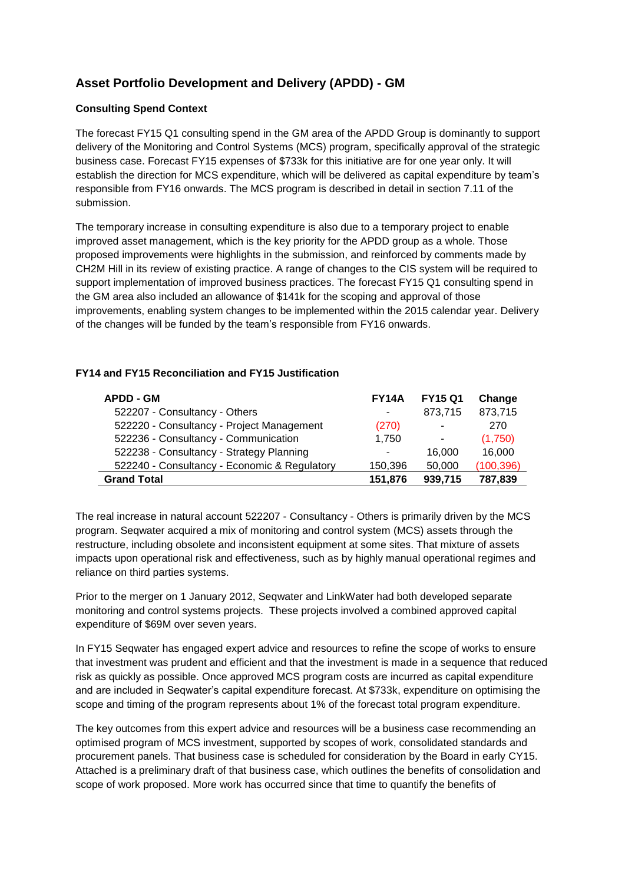## **Asset Portfolio Development and Delivery (APDD) - GM**

## **Consulting Spend Context**

The forecast FY15 Q1 consulting spend in the GM area of the APDD Group is dominantly to support delivery of the Monitoring and Control Systems (MCS) program, specifically approval of the strategic business case. Forecast FY15 expenses of \$733k for this initiative are for one year only. It will establish the direction for MCS expenditure, which will be delivered as capital expenditure by team's responsible from FY16 onwards. The MCS program is described in detail in section 7.11 of the submission.

The temporary increase in consulting expenditure is also due to a temporary project to enable improved asset management, which is the key priority for the APDD group as a whole. Those proposed improvements were highlights in the submission, and reinforced by comments made by CH2M Hill in its review of existing practice. A range of changes to the CIS system will be required to support implementation of improved business practices. The forecast FY15 Q1 consulting spend in the GM area also included an allowance of \$141k for the scoping and approval of those improvements, enabling system changes to be implemented within the 2015 calendar year. Delivery of the changes will be funded by the team's responsible from FY16 onwards.

## **FY14 and FY15 Reconciliation and FY15 Justification**

| <b>APDD - GM</b>                             | <b>FY14A</b>   | <b>FY15 Q1</b>           | Change     |
|----------------------------------------------|----------------|--------------------------|------------|
| 522207 - Consultancy - Others                | ۰              | 873,715                  | 873,715    |
| 522220 - Consultancy - Project Management    | (270)          | ۰                        | 270        |
| 522236 - Consultancy - Communication         | 1.750          | $\overline{\phantom{a}}$ | (1,750)    |
| 522238 - Consultancy - Strategy Planning     | $\blacksquare$ | 16.000                   | 16.000     |
| 522240 - Consultancy - Economic & Regulatory | 150,396        | 50,000                   | (100, 396) |
| <b>Grand Total</b>                           | 151,876        | 939,715                  | 787,839    |

The real increase in natural account 522207 - Consultancy - Others is primarily driven by the MCS program. Seqwater acquired a mix of monitoring and control system (MCS) assets through the restructure, including obsolete and inconsistent equipment at some sites. That mixture of assets impacts upon operational risk and effectiveness, such as by highly manual operational regimes and reliance on third parties systems.

Prior to the merger on 1 January 2012, Seqwater and LinkWater had both developed separate monitoring and control systems projects. These projects involved a combined approved capital expenditure of \$69M over seven years.

In FY15 Seqwater has engaged expert advice and resources to refine the scope of works to ensure that investment was prudent and efficient and that the investment is made in a sequence that reduced risk as quickly as possible. Once approved MCS program costs are incurred as capital expenditure and are included in Seqwater's capital expenditure forecast. At \$733k, expenditure on optimising the scope and timing of the program represents about 1% of the forecast total program expenditure.

The key outcomes from this expert advice and resources will be a business case recommending an optimised program of MCS investment, supported by scopes of work, consolidated standards and procurement panels. That business case is scheduled for consideration by the Board in early CY15. Attached is a preliminary draft of that business case, which outlines the benefits of consolidation and scope of work proposed. More work has occurred since that time to quantify the benefits of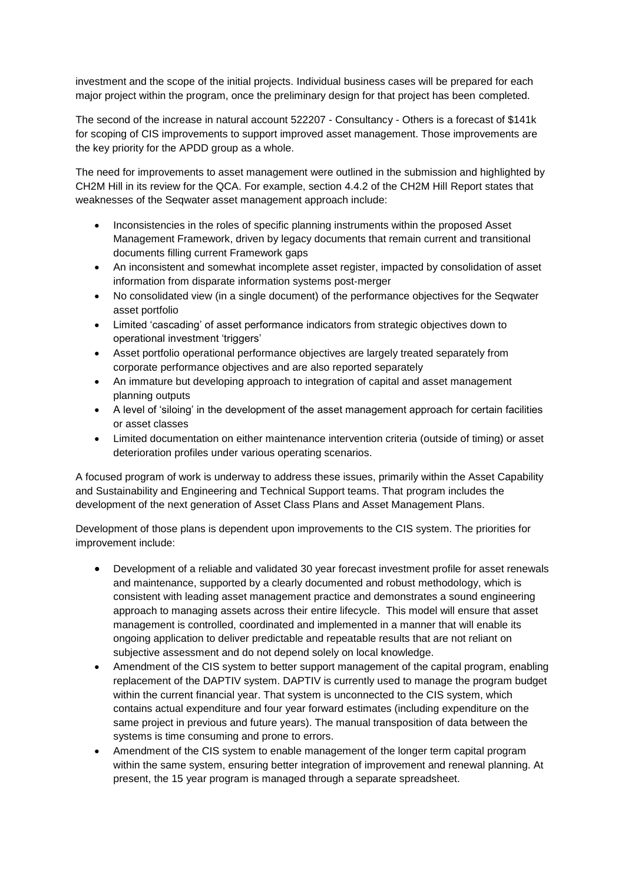investment and the scope of the initial projects. Individual business cases will be prepared for each major project within the program, once the preliminary design for that project has been completed.

The second of the increase in natural account 522207 - Consultancy - Others is a forecast of \$141k for scoping of CIS improvements to support improved asset management. Those improvements are the key priority for the APDD group as a whole.

The need for improvements to asset management were outlined in the submission and highlighted by CH2M Hill in its review for the QCA. For example, section 4.4.2 of the CH2M Hill Report states that weaknesses of the Seqwater asset management approach include:

- Inconsistencies in the roles of specific planning instruments within the proposed Asset Management Framework, driven by legacy documents that remain current and transitional documents filling current Framework gaps
- An inconsistent and somewhat incomplete asset register, impacted by consolidation of asset information from disparate information systems post‐merger
- No consolidated view (in a single document) of the performance objectives for the Seqwater asset portfolio
- Limited 'cascading' of asset performance indicators from strategic objectives down to operational investment 'triggers'
- Asset portfolio operational performance objectives are largely treated separately from corporate performance objectives and are also reported separately
- An immature but developing approach to integration of capital and asset management planning outputs
- A level of 'siloing' in the development of the asset management approach for certain facilities or asset classes
- Limited documentation on either maintenance intervention criteria (outside of timing) or asset deterioration profiles under various operating scenarios.

A focused program of work is underway to address these issues, primarily within the Asset Capability and Sustainability and Engineering and Technical Support teams. That program includes the development of the next generation of Asset Class Plans and Asset Management Plans.

Development of those plans is dependent upon improvements to the CIS system. The priorities for improvement include:

- Development of a reliable and validated 30 year forecast investment profile for asset renewals and maintenance, supported by a clearly documented and robust methodology, which is consistent with leading asset management practice and demonstrates a sound engineering approach to managing assets across their entire lifecycle. This model will ensure that asset management is controlled, coordinated and implemented in a manner that will enable its ongoing application to deliver predictable and repeatable results that are not reliant on subjective assessment and do not depend solely on local knowledge.
- Amendment of the CIS system to better support management of the capital program, enabling replacement of the DAPTIV system. DAPTIV is currently used to manage the program budget within the current financial year. That system is unconnected to the CIS system, which contains actual expenditure and four year forward estimates (including expenditure on the same project in previous and future years). The manual transposition of data between the systems is time consuming and prone to errors.
- Amendment of the CIS system to enable management of the longer term capital program within the same system, ensuring better integration of improvement and renewal planning. At present, the 15 year program is managed through a separate spreadsheet.